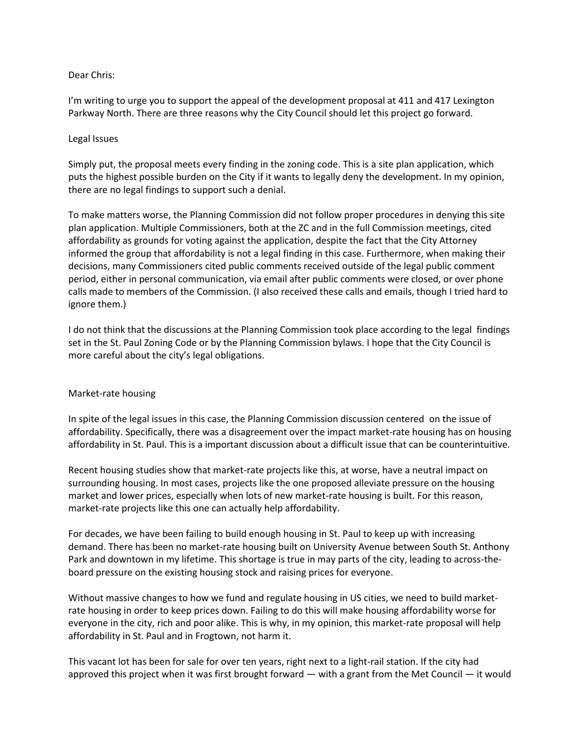## Dear Chris:

I'm writing to urge you to support the appeal of the development proposal at 411 and 417 Lexington Parkway North. There are three reasons why the City Council should let this project go forward.

## Legal Issues

Simply put, the proposal meets every finding in the zoning code. This is a site plan application, which puts the highest possible burden on the City if it wants to legally deny the development. In my opinion, there are no legal findings to support such a denial.

To make matters worse, the Planning Commission did not follow proper procedures in denying this site plan application. Multiple Commissioners, both at the ZC and in the full Commission meetings, cited affordability as grounds for voting against the application, despite the fact that the City Attorney informed the group that affordability is not a legal finding in this case. Furthermore, when making their decisions, many Commissioners cited public comments received outside of the legal public comment period, either in personal communication, via email after public comments were closed, or over phone calls made to members of the Commission. (I also received these calls and emails, though I tried hard to ignore them.)

I do not think that the discussions at the Planning Commission took place according to the legal findings set in the St. Paul Zoning Code or by the Planning Commission bylaws. I hope that the City Council is more careful about the city's legal obligations.

## Market-rate housing

In spite of the legal issues in this case, the Planning Commission discussion centered on the issue of affordability. Specifically, there was a disagreement over the impact market-rate housing has on housing affordability in St. Paul. This is a important discussion about a difficult issue that can be counterintuitive.

Recent housing studies show that market-rate projects like this, at worse, have a neutral impact on surrounding housing. In most cases, projects like the one proposed alleviate pressure on the housing market and lower prices, especially when lots of new market-rate housing is built. For this reason, market-rate projects like this one can actually help affordability.

For decades, we have been failing to build enough housing in St. Paul to keep up with increasing demand. There has been no market-rate housing built on University Avenue between South St. Anthony Park and downtown in my lifetime. This shortage is true in may parts of the city, leading to across-theboard pressure on the existing housing stock and raising prices for everyone.

Without massive changes to how we fund and regulate housing in US cities, we need to build marketrate housing in order to keep prices down. Failing to do this will make housing affordability worse for everyone in the city, rich and poor alike. This is why, in my opinion, this market-rate proposal will help affordability in St. Paul and in Frogtown, not harm it.

This vacant lot has been for sale for over ten years, right next to a light-rail station. If the city had approved this project when it was first brought forward — with a grant from the Met Council — it would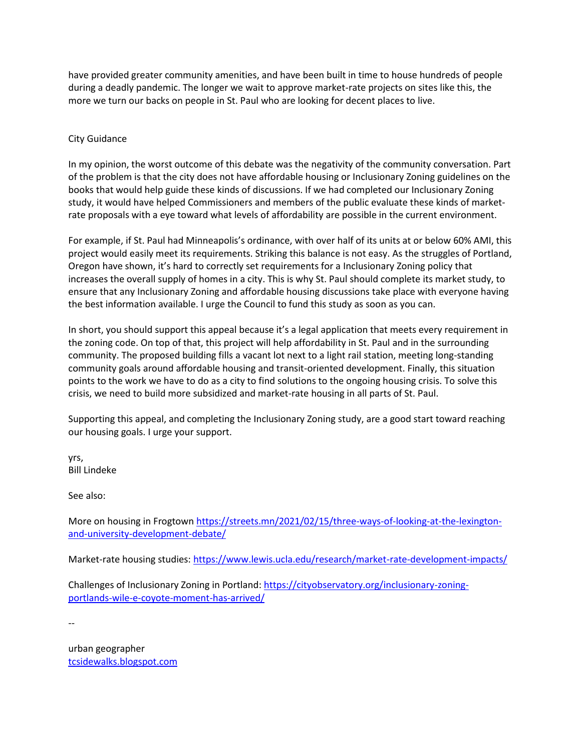have provided greater community amenities, and have been built in time to house hundreds of people during a deadly pandemic. The longer we wait to approve market-rate projects on sites like this, the more we turn our backs on people in St. Paul who are looking for decent places to live.

## City Guidance

In my opinion, the worst outcome of this debate was the negativity of the community conversation. Part of the problem is that the city does not have affordable housing or Inclusionary Zoning guidelines on the books that would help guide these kinds of discussions. If we had completed our Inclusionary Zoning study, it would have helped Commissioners and members of the public evaluate these kinds of marketrate proposals with a eye toward what levels of affordability are possible in the current environment.

For example, if St. Paul had Minneapolis's ordinance, with over half of its units at or below 60% AMI, this project would easily meet its requirements. Striking this balance is not easy. As the struggles of Portland, Oregon have shown, it's hard to correctly set requirements for a Inclusionary Zoning policy that increases the overall supply of homes in a city. This is why St. Paul should complete its market study, to ensure that any Inclusionary Zoning and affordable housing discussions take place with everyone having the best information available. I urge the Council to fund this study as soon as you can.

In short, you should support this appeal because it's a legal application that meets every requirement in the zoning code. On top of that, this project will help affordability in St. Paul and in the surrounding community. The proposed building fills a vacant lot next to a light rail station, meeting long-standing community goals around affordable housing and transit-oriented development. Finally, this situation points to the work we have to do as a city to find solutions to the ongoing housing crisis. To solve this crisis, we need to build more subsidized and market-rate housing in all parts of St. Paul.

Supporting this appeal, and completing the Inclusionary Zoning study, are a good start toward reaching our housing goals. I urge your support.

yrs, Bill Lindeke

See also:

More on housing in Frogtown [https://streets.mn/2021/02/15/three-ways-of-looking-at-the-lexington](https://streets.mn/2021/02/15/three-ways-of-looking-at-the-lexington-and-university-development-debate/)[and-university-development-debate/](https://streets.mn/2021/02/15/three-ways-of-looking-at-the-lexington-and-university-development-debate/)

Market-rate housing studies: <https://www.lewis.ucla.edu/research/market-rate-development-impacts/>

Challenges of Inclusionary Zoning in Portland: [https://cityobservatory.org/inclusionary-zoning](https://cityobservatory.org/inclusionary-zoning-portlands-wile-e-coyote-moment-has-arrived/)[portlands-wile-e-coyote-moment-has-arrived/](https://cityobservatory.org/inclusionary-zoning-portlands-wile-e-coyote-moment-has-arrived/)

--

urban geographer [tcsidewalks.blogspot.com](http://tcsidewalks.blogspot.com/)